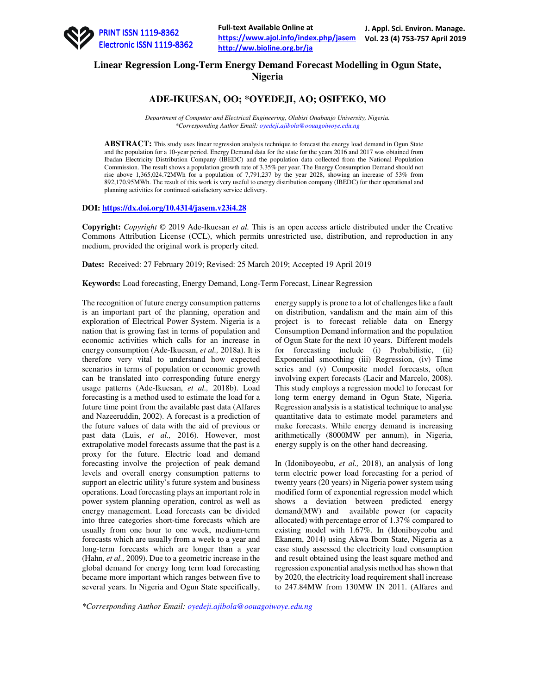

# **Linear Regression Long-Term Energy Demand Forecast Modelling in Ogun State, Nigeria**

## **ADE-IKUESAN, OO; \*OYEDEJI, AO; OSIFEKO, MO**

*Department of Computer and Electrical Engineering, Olabisi Onabanjo University, Nigeria. \*Corresponding Author Email: oyedeji.ajibola@oouagoiwoye.edu.ng* 

**ABSTRACT:** This study uses linear regression analysis technique to forecast the energy load demand in Ogun State and the population for a 10-year period. Energy Demand data for the state for the years 2016 and 2017 was obtained from Ibadan Electricity Distribution Company (IBEDC) and the population data collected from the National Population Commission. The result shows a population growth rate of 3.35% per year. The Energy Consumption Demand should not rise above 1,365,024.72MWh for a population of 7,791,237 by the year 2028, showing an increase of 53% from 892,170.95MWh. The result of this work is very useful to energy distribution company (IBEDC) for their operational and planning activities for continued satisfactory service delivery.

## **DOI: https://dx.doi.org/10.4314/jasem.v23i4.28**

**Copyright:** *Copyright* © 2019 Ade-Ikuesan *et al.* This is an open access article distributed under the Creative Commons Attribution License (CCL), which permits unrestricted use, distribution, and reproduction in any medium, provided the original work is properly cited.

**Dates:** Received: 27 February 2019; Revised: 25 March 2019; Accepted 19 April 2019

**Keywords:** Load forecasting, Energy Demand, Long-Term Forecast, Linear Regression

The recognition of future energy consumption patterns is an important part of the planning, operation and exploration of Electrical Power System. Nigeria is a nation that is growing fast in terms of population and economic activities which calls for an increase in energy consumption (Ade-Ikuesan, *et al.,* 2018a). It is therefore very vital to understand how expected scenarios in terms of population or economic growth can be translated into corresponding future energy usage patterns (Ade-Ikuesan, *et al.,* 2018b). Load forecasting is a method used to estimate the load for a future time point from the available past data (Alfares and Nazeeruddin, 2002). A forecast is a prediction of the future values of data with the aid of previous or past data (Luis, *et al.,* 2016). However, most extrapolative model forecasts assume that the past is a proxy for the future. Electric load and demand forecasting involve the projection of peak demand levels and overall energy consumption patterns to support an electric utility's future system and business operations. Load forecasting plays an important role in power system planning operation, control as well as energy management. Load forecasts can be divided into three categories short-time forecasts which are usually from one hour to one week, medium-term forecasts which are usually from a week to a year and long-term forecasts which are longer than a year (Hahn, *et al.,* 2009). Due to a geometric increase in the global demand for energy long term load forecasting became more important which ranges between five to several years. In Nigeria and Ogun State specifically, energy supply is prone to a lot of challenges like a fault on distribution, vandalism and the main aim of this project is to forecast reliable data on Energy Consumption Demand information and the population of Ogun State for the next 10 years. Different models for forecasting include (i) Probabilistic, (ii) Exponential smoothing (iii) Regression, (iv) Time series and (v) Composite model forecasts, often involving expert forecasts (Lacir and Marcelo, 2008). This study employs a regression model to forecast for long term energy demand in Ogun State, Nigeria. Regression analysis is a statistical technique to analyse quantitative data to estimate model parameters and make forecasts. While energy demand is increasing arithmetically (8000MW per annum), in Nigeria, energy supply is on the other hand decreasing.

In (Idoniboyeobu, *et al.,* 2018), an analysis of long term electric power load forecasting for a period of twenty years (20 years) in Nigeria power system using modified form of exponential regression model which shows a deviation between predicted energy demand(MW) and available power (or capacity allocated) with percentage error of 1.37% compared to existing model with 1.67%. In (Idoniboyeobu and Ekanem, 2014) using Akwa Ibom State, Nigeria as a case study assessed the electricity load consumption and result obtained using the least square method and regression exponential analysis method has shown that by 2020, the electricity load requirement shall increase to 247.84MW from 130MW IN 2011. (Alfares and

*\*Corresponding Author Email: oyedeji.ajibola@oouagoiwoye.edu.ng*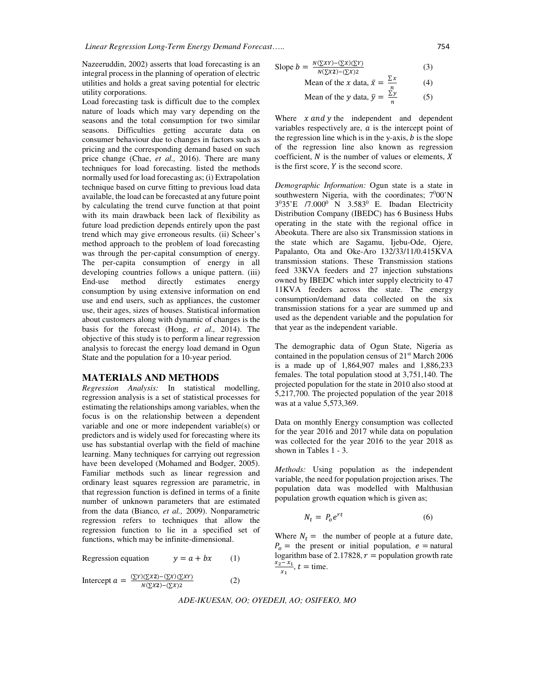Nazeeruddin, 2002) asserts that load forecasting is an integral process in the planning of operation of electric utilities and holds a great saving potential for electric utility corporations.

Load forecasting task is difficult due to the complex nature of loads which may vary depending on the seasons and the total consumption for two similar seasons. Difficulties getting accurate data on consumer behaviour due to changes in factors such as pricing and the corresponding demand based on such price change (Chae, *et al.*, 2016). There are many techniques for load forecasting. listed the methods normally used for load forecasting as; (i) Extrapolation technique based on curve fitting to previous load data available, the load can be forecasted at any future point by calculating the trend curve function at that point with its main drawback been lack of flexibility as future load prediction depends entirely upon the past trend which may give erroneous results. (ii) Scheer's method approach to the problem of load forecasting was through the per-capital consumption of energy. The per-capita consumption of energy in all developing countries follows a unique pattern. *(iii)* End-use method directly estimates energy consumption by using extensive information on end use and end users, such as appliances, the customer use, their ages, sizes of houses. Statistical information about customers along with dynamic of changes is the basis for the forecast (Hong, *et al.,* 2014). The objective of this study is to perform a linear regression analysis to forecast the energy load demand in Ogun State and the population for a 10-year period.

#### **MATERIALS AND METHODS**

*Regression Analysis:* In statistical modelling, regression analysis is a set of statistical processes for estimating the relationships among variables, when the focus is on the relationship between a dependent variable and one or more independent variable(s) or predictors and is widely used for forecasting where its use has substantial overlap with the field of machine learning. Many techniques for carrying out regression have been developed (Mohamed and Bodger, 2005). Familiar methods such as linear regression and ordinary least squares regression are parametric, in that regression function is defined in terms of a finite number of unknown parameters that are estimated from the data (Bianco, *et al.,* 2009). Nonparametric regression refers to techniques that allow the regression function to lie in a specified set of functions, which may be infinite-dimensional.

Regression equation 
$$
y = a + bx
$$
 (1)

Intercept 
$$
a = \frac{(\sum Y)(\sum X2) - (\sum X)(\sum XY)}{N(\sum X2) - (\sum X)2}
$$
 (2)

Slope 
$$
b = \frac{N(\sum XY) - (\sum X)(\sum Y)}{N(\sum X2) - (\sum X)2}
$$
 (3)

Mean of the x data, 
$$
\bar{x} = \frac{\sum x}{n}
$$
 (4)  
Mean of the y data,  $\bar{y} = \frac{\sum y}{n}$  (5)

Where  $x$  and  $y$  the independent and dependent variables respectively are,  $a$  is the intercept point of the regression line which is in the y-axis,  $b$  is the slope of the regression line also known as regression coefficient,  $N$  is the number of values or elements,  $X$ is the first score.  $Y$  is the second score.

*Demographic Information:* Ogun state is a state in southwestern Nigeria, with the coordinates;  $7^000'$ N  $3^{0}35'E$  /7.000<sup>0</sup> N 3.583<sup>0</sup> E. Ibadan Electricity Distribution Company (IBEDC) has 6 Business Hubs operating in the state with the regional office in Abeokuta. There are also six Transmission stations in the state which are Sagamu, Ijebu-Ode, Ojere, Papalanto, Ota and Oke-Aro 132/33/11/0.415KVA transmission stations. These Transmission stations feed 33KVA feeders and 27 injection substations owned by IBEDC which inter supply electricity to 47 11KVA feeders across the state. The energy consumption/demand data collected on the six transmission stations for a year are summed up and used as the dependent variable and the population for that year as the independent variable.

The demographic data of Ogun State, Nigeria as contained in the population census of 21st March 2006 is a made up of 1,864,907 males and 1,886,233 females. The total population stood at 3,751,140. The projected population for the state in 2010 also stood at 5,217,700. The projected population of the year 2018 was at a value 5,573,369.

Data on monthly Energy consumption was collected for the year 2016 and 2017 while data on population was collected for the year 2016 to the year 2018 as shown in Tables 1 - 3.

*Methods:* Using population as the independent variable, the need for population projection arises. The population data was modelled with Malthusian population growth equation which is given as;

$$
N_t = P_0 e^{rt} \tag{6}
$$

Where  $N_t =$  the number of people at a future date,  $P_0$  = the present or initial population,  $e$  = natural logarithm base of 2.17828,  $r =$  population growth rate  $x_2 - x_1$  $\frac{x_1}{x_1}$ ,  $t =$  time.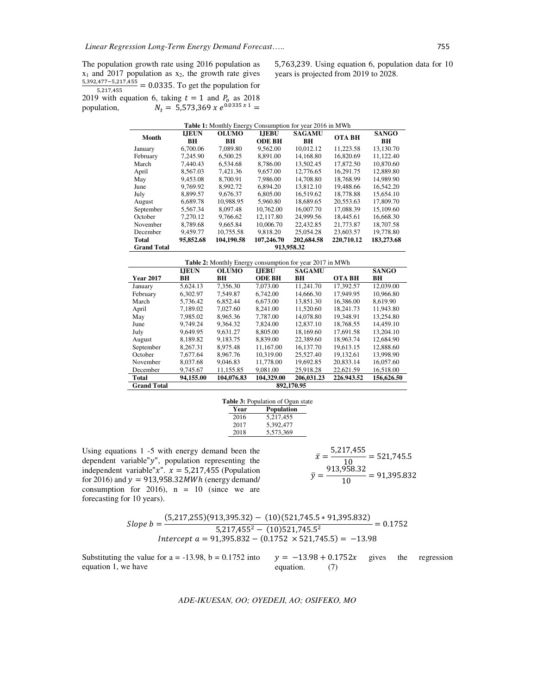The population growth rate using 2016 population as  $x_1$  and 2017 population as  $x_2$ , the growth rate gives 5,392,477–5,217,455  $\frac{(3,217,455)}{5,217,455}$  = 0.0335. To get the population for 2019 with equation 6, taking  $t = 1$  and  $P_0$  as 2018 population,  $N_t = 5{,}573{,}369 \times e^{0.0335 \times 1} =$ 

5,763,239. Using equation 6, population data for 10 years is projected from 2019 to 2028.

| <b>Table 1:</b> Monthly Energy Consumption for year 2016 in MWh |              |              |               |               |               |              |
|-----------------------------------------------------------------|--------------|--------------|---------------|---------------|---------------|--------------|
| Month                                                           | <b>LIEUN</b> | <b>OLUMO</b> | <b>LIEBU</b>  | <b>SAGAMU</b> | <b>OTA BH</b> | <b>SANGO</b> |
|                                                                 | <b>BH</b>    | BН           | <b>ODE BH</b> | <b>BH</b>     |               | <b>BH</b>    |
| January                                                         | 6.700.06     | 7.089.80     | 9.562.00      | 10.012.12     | 11.223.58     | 13.130.70    |
| February                                                        | 7.245.90     | 6.500.25     | 8.891.00      | 14,168.80     | 16.820.69     | 11.122.40    |
| March                                                           | 7.440.43     | 6.534.68     | 8.786.00      | 13.502.45     | 17.872.50     | 10.870.60    |
| April                                                           | 8.567.03     | 7.421.36     | 9.657.00      | 12,776.65     | 16.291.75     | 12.889.80    |
| May                                                             | 9.453.08     | 8.700.91     | 7.986.00      | 14,708.80     | 18,768.99     | 14,989.90    |
| June                                                            | 9.769.92     | 8.992.72     | 6.894.20      | 13.812.10     | 19.488.66     | 16.542.20    |
| July                                                            | 8.899.57     | 9.676.37     | 6.805.00      | 16.519.62     | 18,778.88     | 15.654.10    |
| August                                                          | 6.689.78     | 10.988.95    | 5,960.80      | 18.689.65     | 20.553.63     | 17,809.70    |
| September                                                       | 5.567.34     | 8.097.48     | 10.762.00     | 16,007.70     | 17.088.39     | 15,109.60    |
| October                                                         | 7.270.12     | 9.766.62     | 12.117.80     | 24,999.56     | 18.445.61     | 16,668.30    |
| November                                                        | 8.789.68     | 9.665.84     | 10,006.70     | 22.432.85     | 21,773.87     | 18,707.58    |
| December                                                        | 9.459.77     | 10.755.58    | 9.818.20      | 25,054.28     | 23,603.57     | 19,778.80    |
| Total                                                           | 95.852.68    | 104,190.58   | 107,246.70    | 202,684.58    | 220,710.12    | 183,273.68   |
| <b>Grand Total</b>                                              | 913.958.32   |              |               |               |               |              |

| <b>Table 2:</b> Monthly Energy consumption for year 2017 in MWh |              |              |               |               |               |              |
|-----------------------------------------------------------------|--------------|--------------|---------------|---------------|---------------|--------------|
|                                                                 | <b>LIEUN</b> | <b>OLUMO</b> | <b>LIEBU</b>  | <b>SAGAMU</b> |               | <b>SANGO</b> |
| <b>Year 2017</b>                                                | BH           | BH           | <b>ODE BH</b> | BH            | <b>OTA BH</b> | BH           |
| January                                                         | 5,624.13     | 7.356.30     | 7.073.00      | 11.241.70     | 17.392.57     | 12,039.00    |
| February                                                        | 6.302.97     | 7.549.87     | 6.742.00      | 14,666.30     | 17.949.95     | 10,966.80    |
| March                                                           | 5.736.42     | 6.852.44     | 6.673.00      | 13.851.30     | 16,386.00     | 8.619.90     |
| April                                                           | 7.189.02     | 7.027.60     | 8.241.00      | 11.520.60     | 18.241.73     | 11.943.80    |
| May                                                             | 7.985.02     | 8.965.36     | 7.787.00      | 14,078.80     | 19.348.91     | 13,254.80    |
| June                                                            | 9.749.24     | 9.364.32     | 7.824.00      | 12,837.10     | 18.768.55     | 14,459.10    |
| July                                                            | 9.649.95     | 9.631.27     | 8.805.00      | 18.169.60     | 17.691.58     | 13.204.10    |
| August                                                          | 8.189.82     | 9.183.75     | 8.839.00      | 22,389.60     | 18.963.74     | 12,684.90    |
| September                                                       | 8.267.31     | 8.975.48     | 11.167.00     | 16.137.70     | 19.613.15     | 12,888.60    |
| October                                                         | 7.677.64     | 8.967.76     | 10.319.00     | 25,527.40     | 19.132.61     | 13,998.90    |
| November                                                        | 8.037.68     | 9.046.83     | 11,778.00     | 19.692.85     | 20.833.14     | 16,057.60    |
| December                                                        | 9,745.67     | 11,155.85    | 9,081.00      | 25,918.28     | 22,621.59     | 16,518.00    |
| Total                                                           | 94,155.00    | 104,076.83   | 104.329.00    | 206,031.23    | 226.943.52    | 156,626.50   |
| <b>Grand Total</b>                                              | 892,170.95   |              |               |               |               |              |

| <b>Table 3:</b> Population of Ogun state |      |                   |  |  |
|------------------------------------------|------|-------------------|--|--|
|                                          | Year | <b>Population</b> |  |  |
|                                          | 2016 | 5,217,455         |  |  |
|                                          | 2017 | 5,392,477         |  |  |
|                                          | 2018 | 5,573,369         |  |  |

Using equations 1 -5 with energy demand been the dependent variable" $y$ ", population representing the independent variable" $x$ ".  $x = 5,217,455$  (Population for 2016) and  $y = 913,958.32MWh$  (energy demand/ consumption for 2016),  $n = 10$  (since we are forecasting for 10 years).

 $\bar{x} = \frac{5,217,455}{10}$  $\frac{10}{10}$  = 521,745.5  $\bar{y} = \frac{913,958.32}{10}$  $\frac{1}{10}$  = 91,395.832

$$
Slope b = \frac{(5,217,255)(913,395.32) - (10)(521,745.5*91,395.832)}{5,217,455^2 - (10)521,745.5^2} = 0.1752
$$
  
Intercept a = 91,395.832 - (0.1752 × 521,745.5) = -13.98

Substituting the value for  $a = -13.98$ ,  $b = 0.1752$  into equation 1, we have  $y = -13.98 + 0.1752x$  gives the regression equation. (7)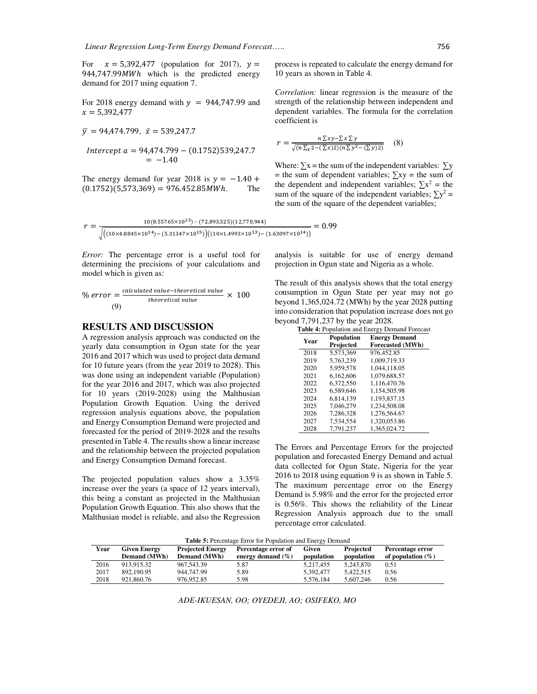For  $x = 5,392,477$  (population for 2017),  $y =$  $944,747.99MWh$  which is the predicted energy demand for 2017 using equation 7.

For 2018 energy demand with  $y = 944,747.99$  and  $x = 5,392,477$ 

$$
\bar{y} = 94,474.799, \ \bar{x} = 539,247.7
$$

$$
Intercept a = 94,474.799 - (0.1752)539,247.7
$$
  
= -1.40

The energy demand for year 2018 is  $y = -1.40 +$  $(0.1752)(5,573,369) = 976.452.85MWh.$  The

process is repeated to calculate the energy demand for 10 years as shown in Table 4.

*Correlation:* linear regression is the measure of the strength of the relationship between independent and dependent variables. The formula for the correlation coefficient is

$$
r = \frac{n \sum xy - \sum x \sum y}{\sqrt{(n \sum x^2 - (\sum x)^2)(n \sum y^2 - (\sum y)^2)}} \quad (8)
$$

Where:  $\Sigma x$  = the sum of the independent variables:  $\Sigma y$  $=$  the sum of dependent variables;  $\sum xy =$  the sum of the dependent and independent variables;  $\sum x^2$  = the sum of the square of the independent variables;  $\sum y^2 =$ the sum of the square of the dependent variables;

$$
r = \frac{10(8.55765 \times 10^{13}) - (72,893,525)(12,770,944)}{\sqrt{((10 \times 4.8845 \times 10^{14}) - (5.31347 \times 10^{15}))((10 \times 1.4993 \times 10^{13}) - (1.63097 \times 10^{14}))}} = 0.99
$$

*Error:* The percentage error is a useful tool for determining the precisions of your calculations and model which is given as:

% error = 
$$
\frac{calculated \ value - theoretical \ value}{theoretical \ value} \times 100
$$
  
(9)

## **RESULTS AND DISCUSSION**

A regression analysis approach was conducted on the yearly data consumption in Ogun state for the year 2016 and 2017 which was used to project data demand for 10 future years (from the year 2019 to 2028). This was done using an independent variable (Population) for the year 2016 and 2017, which was also projected for 10 years (2019-2028) using the Malthusian Population Growth Equation. Using the derived regression analysis equations above, the population and Energy Consumption Demand were projected and forecasted for the period of 2019-2028 and the results presented in Table 4. The results show a linear increase and the relationship between the projected population and Energy Consumption Demand forecast.

The projected population values show a 3.35% increase over the years (a space of 12 years interval), this being a constant as projected in the Malthusian Population Growth Equation. This also shows that the Malthusian model is reliable, and also the Regression analysis is suitable for use of energy demand projection in Ogun state and Nigeria as a whole.

The result of this analysis shows that the total energy consumption in Ogun State per year may not go beyond 1,365,024.72 (MWh) by the year 2028 putting into consideration that population increase does not go beyond 7,791,237 by the year 2028.

| <b>Table 4: Population and Energy Demand Forecast</b> |                   |                         |  |  |  |
|-------------------------------------------------------|-------------------|-------------------------|--|--|--|
| Year                                                  | <b>Population</b> | <b>Energy Demand</b>    |  |  |  |
|                                                       | Projected         | <b>Forecasted (MWh)</b> |  |  |  |
| 2018                                                  | 5,573,369         | 976,452.85              |  |  |  |
| 2019                                                  | 5,763,239         | 1.009.719.33            |  |  |  |
| 2020                                                  | 5,959,578         | 1.044.118.05            |  |  |  |
| 2021                                                  | 6.162,606         | 1.079.688.57            |  |  |  |
| 2022                                                  | 6,372,550         | 1,116,470.76            |  |  |  |
| 2023                                                  | 6.589.646         | 1,154,505.98            |  |  |  |
| 2024                                                  | 6.814.139         | 1.193.837.15            |  |  |  |
| 2025                                                  | 7,046,279         | 1,234,508.08            |  |  |  |
| 2026                                                  | 7,286,328         | 1,276,564.67            |  |  |  |
| 2027                                                  | 7.534.554         | 1.320.053.86            |  |  |  |
| 2028                                                  | 7,791,237         | 1,365,024.72            |  |  |  |

The Errors and Percentage Errors for the projected population and forecasted Energy Demand and actual data collected for Ogun State, Nigeria for the year 2016 to 2018 using equation 9 is as shown in Table 5. The maximum percentage error on the Energy Demand is 5.98% and the error for the projected error is 0.56%. This shows the reliability of the Linear Regression Analysis approach due to the small percentage error calculated.

**Table 5:** Percentage Error for Population and Energy Demand

| Year | Given Energy<br><b>Demand</b> (MWh) | <b>Projected Energy</b><br><b>Demand</b> (MWh) | Percentage error of<br>energy demand $(\% )$ | Given<br>population | Projected<br>population | Percentage error<br>of population $(\%)$ |
|------|-------------------------------------|------------------------------------------------|----------------------------------------------|---------------------|-------------------------|------------------------------------------|
| 2016 | 913.915.32                          | 967, 543.39                                    | 5.87                                         | 5.217.455           | 5.243.870               | 0.51                                     |
| 2017 | 892.190.95                          | 944,747.99                                     | 5.89                                         | 5.392.477           | 5.422.515               | 0.56                                     |
| 2018 | 921,860.76                          | 976.952.85                                     | 5.98                                         | 5.576.184           | 5.607.246               | 0.56                                     |